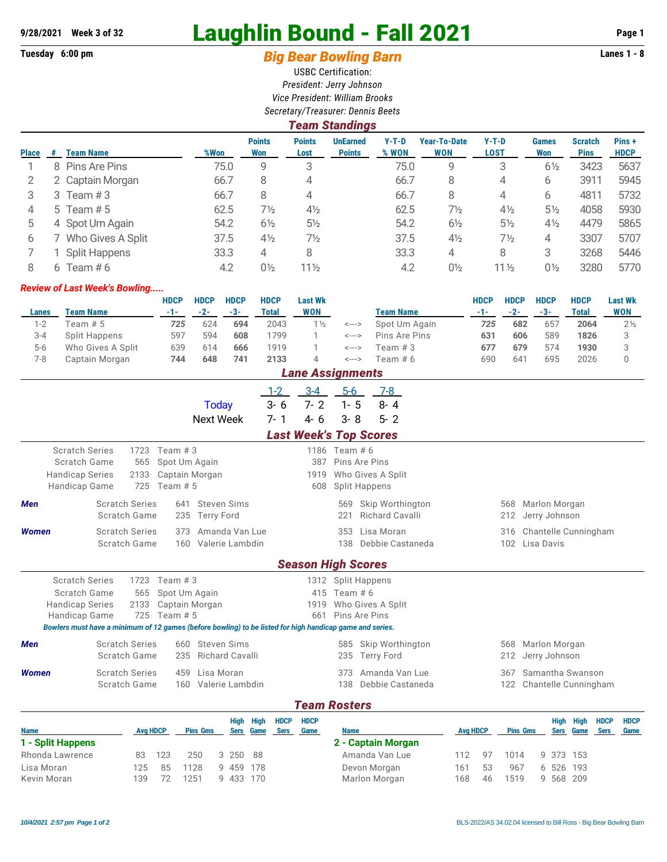## **9/28/2021 Week 3 of 32 Laughlin Bound - Fall 2021 Page 1**

## **Tuesday 6:00 pm** *Big Bear Bowling Barn* **Lanes 1 - 8**

USBC Certification: *President: Jerry Johnson Vice President: William Brooks Secretary/Treasurer: Dennis Beets*

|              | Team Standings |                      |      |                             |                       |                                  |                  |                                   |                 |                     |                               |                      |  |  |
|--------------|----------------|----------------------|------|-----------------------------|-----------------------|----------------------------------|------------------|-----------------------------------|-----------------|---------------------|-------------------------------|----------------------|--|--|
| <b>Place</b> | #              | <b>Team Name</b>     | %Won | <b>Points</b><br><b>Won</b> | <b>Points</b><br>Lost | <b>UnEarned</b><br><b>Points</b> | $Y-T-D$<br>% WON | <b>Year-To-Date</b><br><b>WON</b> | $Y-T-D$<br>LOST | <b>Games</b><br>Won | <b>Scratch</b><br><b>Pins</b> | Pins+<br><b>HDCP</b> |  |  |
|              | 8.             | Pins Are Pins        | 75.0 | 9                           | 3                     |                                  | 75.0             | 9                                 | 3               | $6\frac{1}{2}$      | 3423                          | 5637                 |  |  |
|              |                | 2 Captain Morgan     | 66.7 | 8                           | 4                     |                                  | 66.7             | 8                                 | 4               | 6                   | 3911                          | 5945                 |  |  |
| 3            | 3              | Team $#3$            | 66.7 | 8                           | 4                     |                                  | 66.7             | 8                                 | 4               | 6                   | 4811                          | 5732                 |  |  |
| 4            |                | 5 Team $# 5$         | 62.5 | 7½                          | $4\frac{1}{2}$        |                                  | 62.5             | $7\frac{1}{2}$                    | $4\frac{1}{2}$  | $5\frac{1}{2}$      | 4058                          | 5930                 |  |  |
| 5            |                | 4 Spot Um Again      | 54.2 | $6\frac{1}{2}$              | $5\frac{1}{2}$        |                                  | 54.2             | $6\frac{1}{2}$                    | $5\frac{1}{2}$  | $4\frac{1}{2}$      | 4479                          | 5865                 |  |  |
| 6            |                | Who Gives A Split    | 37.5 | $4\frac{1}{2}$              | $7\frac{1}{2}$        |                                  | 37.5             | $4\frac{1}{2}$                    | $7\frac{1}{2}$  | 4                   | 3307                          | 5707                 |  |  |
|              |                | <b>Split Happens</b> | 33.3 | 4                           | 8                     |                                  | 33.3             | 4                                 | 8               | 3                   | 3268                          | 5446                 |  |  |
| 8            | 6              | Team # $6$           | 4.2  | $0\frac{1}{2}$              | $11\frac{1}{2}$       |                                  | 4.2              | $0\frac{1}{2}$                    | $11\frac{1}{2}$ | $0\frac{1}{2}$      | 3280                          | 5770                 |  |  |

## *Review of Last Week's Bowling.....*

|       |                      | HDCP | <b>HDCP</b> | <b>HDCP</b> | <b>HDCP</b> | <b>Last Wk</b>      |                            |                  | <b>HDCP</b> | <b>HDCP</b> | <b>HDCP</b> | <b>HDCP</b> | <b>Last Wk</b> |
|-------|----------------------|------|-------------|-------------|-------------|---------------------|----------------------------|------------------|-------------|-------------|-------------|-------------|----------------|
| Lanes | <b>Team Name</b>     | -1-  | $-2-$       | -3-         | Total       | <b>WON</b>          |                            | <b>Team Name</b> |             | $-2-$       | $-3-$       | Total       | WON            |
| $1-2$ | Team # 5             | 725  | 624         | 694         | 2043        | $1\frac{1}{2}$      | <--->                      | Spot Um Again    | 725         | 682         | 657         | 2064        | $2\frac{1}{2}$ |
| 3-4   | <b>Split Happens</b> | 597  | 594         | 608         | 1799        |                     | <--->                      | Pins Are Pins    | 631         | 606         | 589         | 1826        |                |
| $5-6$ | Who Gives A Split    | 639  | 614         | 666         | 1919        |                     | <--->                      | Team # 3         | 677         | 679         | 574         | 1930        |                |
| 7-8   | Captain Morgan       | 744  | 648         | 741         | 2133        |                     | $\leftarrow$ $\rightarrow$ | Team # 6         | 690         | 641         | 695         | 2026        |                |
|       |                      |      |             |             |             | l ana Accianmante l |                            |                  |             |             |             |             |                |

| <i>Lane Assignments</i> |                       |           |                |                                                                                                          |                               |                               |                      |  |                    |           |     |                                         |             |
|-------------------------|-----------------------|-----------|----------------|----------------------------------------------------------------------------------------------------------|-------------------------------|-------------------------------|----------------------|--|--------------------|-----------|-----|-----------------------------------------|-------------|
|                         |                       |           |                | Today                                                                                                    | $1 - 2$<br>$3 - 6$<br>$7 - 1$ | $3 - 4$<br>$7 - 2$            | $5-6$<br>$1 - 5$     |  | $7 - 8$<br>$8 - 4$ |           |     |                                         |             |
|                         |                       |           |                | <b>Next Week</b>                                                                                         |                               | $4 - 6$                       | $3 - 8$              |  | $5 - 2$            |           |     |                                         |             |
|                         |                       |           |                |                                                                                                          |                               | <b>Last Week's Top Scores</b> |                      |  |                    |           |     |                                         |             |
| <b>Scratch Series</b>   |                       | 1723      | Team $#3$      |                                                                                                          |                               |                               | 1186 Team # 6        |  |                    |           |     |                                         |             |
| Scratch Game            |                       | 565       | Spot Um Again  |                                                                                                          |                               | 387                           | Pins Are Pins        |  |                    |           |     |                                         |             |
| <b>Handicap Series</b>  |                       | 2133      | Captain Morgan |                                                                                                          |                               | 1919                          |                      |  | Who Gives A Split  |           |     |                                         |             |
| Handicap Game           |                       | 725       | Team $# 5$     |                                                                                                          |                               | 608                           | <b>Split Happens</b> |  |                    |           |     |                                         |             |
| <b>Men</b>              | <b>Scratch Series</b> |           | 641            | <b>Steven Sims</b>                                                                                       |                               |                               | 569                  |  | Skip Worthington   |           | 568 | Marlon Morgan                           |             |
|                         | Scratch Game          |           | 235            | <b>Terry Ford</b>                                                                                        |                               |                               | 221                  |  | Richard Cavalli    |           | 212 | Jerry Johnson                           |             |
| <b>Women</b>            | <b>Scratch Series</b> |           | 373            | Amanda Van Lue                                                                                           |                               |                               | 353                  |  | Lisa Moran         |           |     | 316 Chantelle Cunningham                |             |
|                         | Scratch Game          |           |                | 160 Valerie Lambdin                                                                                      |                               |                               | 138                  |  | Debbie Castaneda   |           | 102 | Lisa Davis                              |             |
|                         |                       |           |                |                                                                                                          |                               |                               |                      |  |                    |           |     |                                         |             |
|                         |                       |           |                |                                                                                                          |                               | <b>Season High Scores</b>     |                      |  |                    |           |     |                                         |             |
| <b>Scratch Series</b>   |                       | 1723      | Team $#3$      |                                                                                                          |                               |                               | 1312 Split Happens   |  |                    |           |     |                                         |             |
| Scratch Game            |                       | 565       | Spot Um Again  |                                                                                                          |                               |                               | 415 Team # 6         |  |                    |           |     |                                         |             |
| <b>Handicap Series</b>  |                       | 2133      | Captain Morgan |                                                                                                          |                               | 1919                          |                      |  | Who Gives A Split  |           |     |                                         |             |
| <b>Handicap Game</b>    |                       | 725       | Team $# 5$     |                                                                                                          |                               | 661                           | Pins Are Pins        |  |                    |           |     |                                         |             |
|                         |                       |           |                | Bowlers must have a minimum of 12 games (before bowling) to be listed for high handicap game and series. |                               |                               |                      |  |                    |           |     |                                         |             |
| <b>Men</b>              | <b>Scratch Series</b> |           |                | 660 Steven Sims                                                                                          |                               |                               | 585                  |  | Skip Worthington   |           | 568 | Marlon Morgan                           |             |
|                         | Scratch Game          |           | 235            | <b>Richard Cavalli</b>                                                                                   |                               |                               | 235                  |  | <b>Terry Ford</b>  |           | 212 | Jerry Johnson                           |             |
| <b>Women</b>            | <b>Scratch Series</b> |           |                | 459 Lisa Moran                                                                                           |                               |                               | 373                  |  | Amanda Van Lue     |           | 367 | Samantha Swanson                        |             |
|                         | Scratch Game          |           |                | 160 Valerie Lambdin                                                                                      |                               |                               | 138                  |  | Debbie Castaneda   |           | 122 | Chantelle Cunningham                    |             |
|                         |                       |           |                |                                                                                                          |                               |                               |                      |  |                    |           |     |                                         |             |
|                         |                       |           |                |                                                                                                          |                               | <b>Team Rosters</b>           |                      |  |                    |           |     |                                         |             |
|                         |                       |           |                | High High                                                                                                | <b>HDCP</b>                   | <b>HDCP</b>                   |                      |  |                    |           |     | <b>HDCP</b><br>High High                | <b>HDCP</b> |
| <b>Mama</b>             |                       | Aug Libed |                | Dina Cma<br>Caso, Camp                                                                                   | <b>Connel</b>                 | Come                          | <b>Mama</b>          |  |                    | Aug Libed |     | Dina Cma<br>Caso, Camp<br><b>Connel</b> | <b>Como</b> |

**Name Avg HDCP Pins Gms Sers Game Sers Game Name Avg HDCP Pins Gms Sers Game Sers Game 1 - Split Happens** Rhonda Lawrence 83 123 250 3 250 88 Lisa Moran 125 85 1128 9 459 178 Kevin Moran 139 72 1251 9 433 170 **2 - Captain Morgan** Amanda Van Lue 112 97 1014 9 373 153 Devon Morgan 161 53 967 6 526 193 Marlon Morgan 168 46 1519 9 568 209